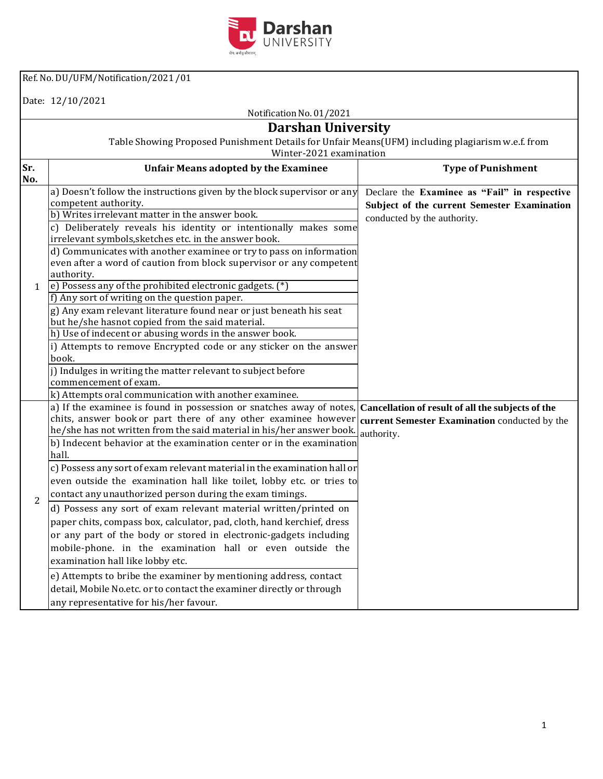

Ref.No. DU/UFM/Notification/2021 /01

Date: 12/10/2021

## Notification No. 01/2021

## **Darshan University**

Table Showing Proposed Punishment Details for Unfair Means(UFM) including plagiarism w.e.f. from

|                | Winter-2021 examination                                                                                                                                                                                                                                                                                                                                                                                                                                                                                                                                                                                                                                                                                                                                                                                                                                                                                                                                                                                                      |                                                                                                                            |  |  |
|----------------|------------------------------------------------------------------------------------------------------------------------------------------------------------------------------------------------------------------------------------------------------------------------------------------------------------------------------------------------------------------------------------------------------------------------------------------------------------------------------------------------------------------------------------------------------------------------------------------------------------------------------------------------------------------------------------------------------------------------------------------------------------------------------------------------------------------------------------------------------------------------------------------------------------------------------------------------------------------------------------------------------------------------------|----------------------------------------------------------------------------------------------------------------------------|--|--|
| Sr.<br>No.     | <b>Unfair Means adopted by the Examinee</b>                                                                                                                                                                                                                                                                                                                                                                                                                                                                                                                                                                                                                                                                                                                                                                                                                                                                                                                                                                                  | <b>Type of Punishment</b>                                                                                                  |  |  |
| 1              | a) Doesn't follow the instructions given by the block supervisor or any<br>competent authority.<br>b) Writes irrelevant matter in the answer book.<br>c) Deliberately reveals his identity or intentionally makes some<br>irrelevant symbols, sketches etc. in the answer book.<br>d) Communicates with another examinee or try to pass on information<br>even after a word of caution from block supervisor or any competent<br>authority.<br>e) Possess any of the prohibited electronic gadgets. (*)<br>f) Any sort of writing on the question paper.<br>g) Any exam relevant literature found near or just beneath his seat<br>but he/she hasnot copied from the said material.<br>h) Use of indecent or abusing words in the answer book.<br>i) Attempts to remove Encrypted code or any sticker on the answer<br>book.<br>j) Indulges in writing the matter relevant to subject before<br>commencement of exam.<br>k) Attempts oral communication with another examinee.                                               | Declare the Examinee as "Fail" in respective<br>Subject of the current Semester Examination<br>conducted by the authority. |  |  |
| $\overline{2}$ | a) If the examinee is found in possession or snatches away of notes,<br>chits, answer book or part there of any other examinee however<br>he/she has not written from the said material in his/her answer book.<br>b) Indecent behavior at the examination center or in the examination<br>hall.<br>c) Possess any sort of exam relevant material in the examination hall or<br>even outside the examination hall like toilet, lobby etc. or tries to<br>contact any unauthorized person during the exam timings.<br>d) Possess any sort of exam relevant material written/printed on<br>paper chits, compass box, calculator, pad, cloth, hand kerchief, dress<br>or any part of the body or stored in electronic-gadgets including<br>mobile-phone. in the examination hall or even outside the<br>examination hall like lobby etc.<br>e) Attempts to bribe the examiner by mentioning address, contact<br>detail, Mobile No.etc. or to contact the examiner directly or through<br>any representative for his/her favour. | Cancellation of result of all the subjects of the<br>current Semester Examination conducted by the<br>authority.           |  |  |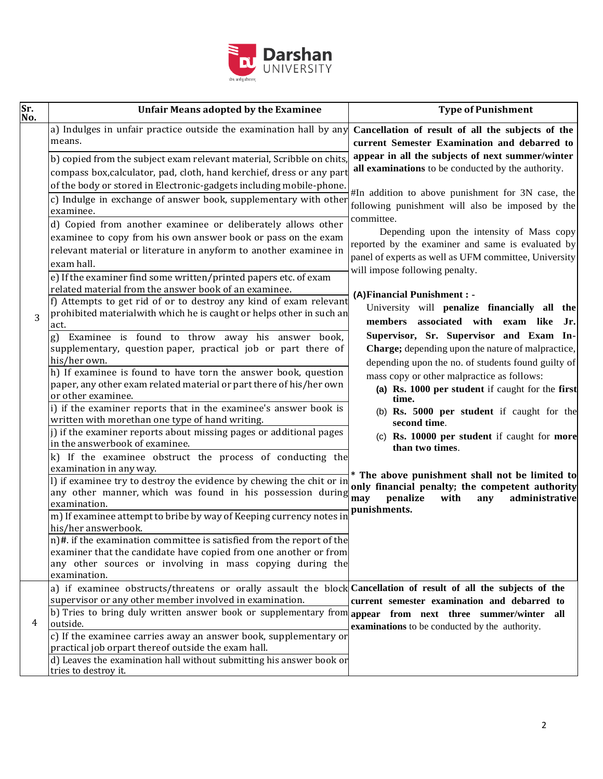

| Sr.<br>No. | <b>Unfair Means adopted by the Examinee</b>                                                                                                                                                                                                                                                     | <b>Type of Punishment</b>                                                                                                                                             |
|------------|-------------------------------------------------------------------------------------------------------------------------------------------------------------------------------------------------------------------------------------------------------------------------------------------------|-----------------------------------------------------------------------------------------------------------------------------------------------------------------------|
|            | a) Indulges in unfair practice outside the examination hall by any<br>means.                                                                                                                                                                                                                    | Cancellation of result of all the subjects of the<br>current Semester Examination and debarred to                                                                     |
|            | b) copied from the subject exam relevant material, Scribble on chits,<br>compass box, calculator, pad, cloth, hand kerchief, dress or any part                                                                                                                                                  | appear in all the subjects of next summer/winter<br>all examinations to be conducted by the authority.                                                                |
|            | of the body or stored in Electronic-gadgets including mobile-phone.<br>c) Indulge in exchange of answer book, supplementary with other<br>examinee.                                                                                                                                             | #In addition to above punishment for 3N case, the<br>following punishment will also be imposed by the<br>committee.                                                   |
|            | d) Copied from another examinee or deliberately allows other<br>examinee to copy from his own answer book or pass on the exam<br>relevant material or literature in anyform to another examinee in<br>exam hall.                                                                                | Depending upon the intensity of Mass copy<br>reported by the examiner and same is evaluated by<br>panel of experts as well as UFM committee, University               |
|            | e) If the examiner find some written/printed papers etc. of exam<br>related material from the answer book of an examinee.                                                                                                                                                                       | will impose following penalty.<br>(A) Financial Punishment : -                                                                                                        |
| 3          | f) Attempts to get rid of or to destroy any kind of exam relevant<br>prohibited materialwith which he is caught or helps other in such an<br>act.                                                                                                                                               | University will penalize financially all the<br>members associated with exam like<br>Jr.                                                                              |
|            | Examinee is found to throw away his answer book,<br>supplementary, question paper, practical job or part there of<br>his/her own.<br>h) If examinee is found to have torn the answer book, question                                                                                             | Supervisor, Sr. Supervisor and Exam In-<br>Charge; depending upon the nature of malpractice,<br>depending upon the no. of students found guilty of                    |
|            | paper, any other exam related material or part there of his/her own<br>or other examinee.                                                                                                                                                                                                       | mass copy or other malpractice as follows:<br>(a) Rs. 1000 per student if caught for the first<br>time.                                                               |
|            | i) if the examiner reports that in the examinee's answer book is<br>written with morethan one type of hand writing.<br>j) if the examiner reports about missing pages or additional pages                                                                                                       | (b) Rs. 5000 per student if caught for the<br>second time.<br>(c) Rs. 10000 per student if caught for more                                                            |
|            | in the answerbook of examinee.<br>k) If the examinee obstruct the process of conducting the<br>examination in any way.                                                                                                                                                                          | than two times.                                                                                                                                                       |
|            | I) if examinee try to destroy the evidence by chewing the chit or in<br>any other manner, which was found in his possession during<br>examination.                                                                                                                                              | * The above punishment shall not be limited to<br>only financial penalty; the competent authority<br>penalize<br>administrative<br>may<br>with<br>any<br>punishments. |
|            | m) If examinee attempt to bribe by way of Keeping currency notes in<br>his/her answerbook.                                                                                                                                                                                                      |                                                                                                                                                                       |
|            | n)#. if the examination committee is satisfied from the report of the<br>examiner that the candidate have copied from one another or from<br>any other sources or involving in mass copying during the<br>examination.                                                                          |                                                                                                                                                                       |
|            | a) if examinee obstructs/threatens or orally assault the block Cancellation of result of all the subjects of the<br>supervisor or any other member involved in examination.<br>b) Tries to bring duly written answer book or supplementary from <b>appear</b> from next three summer/winter all | current semester examination and debarred to                                                                                                                          |
| 4          | outside.<br>c) If the examinee carries away an answer book, supplementary or<br>practical job orpart thereof outside the exam hall.                                                                                                                                                             | examinations to be conducted by the authority.                                                                                                                        |
|            | d) Leaves the examination hall without submitting his answer book or<br>tries to destroy it.                                                                                                                                                                                                    |                                                                                                                                                                       |